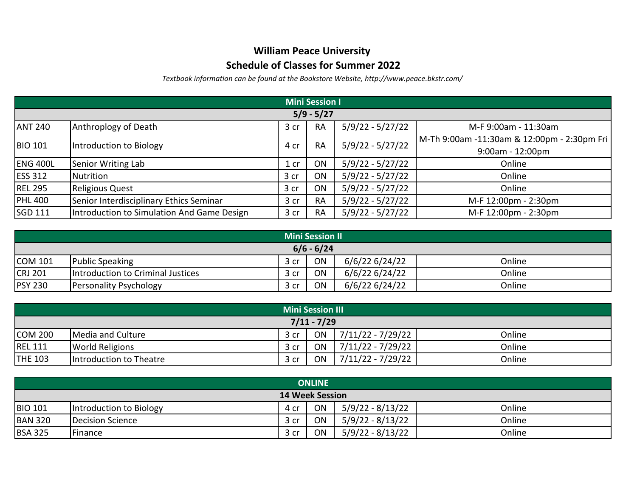## **William Peace University**

## **Schedule of Classes for Summer 2022**

*Textbook information can be found at the Bookstore Website, http://www.peace.bkstr.com/*

| <b>Mini Session I</b> |                                            |                 |           |                    |                                             |  |  |  |
|-----------------------|--------------------------------------------|-----------------|-----------|--------------------|---------------------------------------------|--|--|--|
| $5/9 - 5/27$          |                                            |                 |           |                    |                                             |  |  |  |
| <b>ANT 240</b>        | Anthroplogy of Death                       | 3 cr            | <b>RA</b> | $5/9/22 - 5/27/22$ | M-F 9:00am - 11:30am                        |  |  |  |
| <b>BIO 101</b>        | Introduction to Biology                    | 4 cr            | <b>RA</b> | $5/9/22 - 5/27/22$ | M-Th 9:00am -11:30am & 12:00pm - 2:30pm Fri |  |  |  |
|                       |                                            |                 |           |                    | $9:00$ am - 12:00pm                         |  |  |  |
| <b>ENG 400L</b>       | Senior Writing Lab                         | 1 <sub>cr</sub> | ON        | $5/9/22 - 5/27/22$ | Online                                      |  |  |  |
| <b>ESS 312</b>        | Nutrition                                  | 3 cr            | ON        | $5/9/22 - 5/27/22$ | Online                                      |  |  |  |
| <b>REL 295</b>        | <b>Religious Quest</b>                     | 3 cr            | ON        | $5/9/22 - 5/27/22$ | Online                                      |  |  |  |
| <b>PHL 400</b>        | Senior Interdisciplinary Ethics Seminar    | 3 cr            | <b>RA</b> | $5/9/22 - 5/27/22$ | M-F 12:00pm - 2:30pm                        |  |  |  |
| SGD 111               | Introduction to Simulation And Game Design | 3 <sub>cr</sub> | <b>RA</b> | $5/9/22 - 5/27/22$ | M-F 12:00pm - 2:30pm                        |  |  |  |

| <b>Mini Session II</b> |                                   |      |    |                |        |  |  |
|------------------------|-----------------------------------|------|----|----------------|--------|--|--|
| $6/6 - 6/24$           |                                   |      |    |                |        |  |  |
| <b>COM 101</b>         | <b>Public Speaking</b>            | 3 cr | ON | 6/6/22 6/24/22 | Online |  |  |
| <b>CRJ 201</b>         | Introduction to Criminal Justices | 3 cr | ON | 6/6/22 6/24/22 | Online |  |  |
| <b>PSY 230</b>         | Personality Psychology            | 3 cr | ON | 6/6/22 6/24/22 | Online |  |  |

| <b>Mini Session III</b> |                         |      |    |                     |        |  |  |
|-------------------------|-------------------------|------|----|---------------------|--------|--|--|
| $7/11 - 7/29$           |                         |      |    |                     |        |  |  |
| <b>COM 200</b>          | Media and Culture       | 3 cr | ON | 7/11/22 - 7/29/22   | Online |  |  |
| <b>REL 111</b>          | <b>World Religions</b>  | 3 cr | ON | 7/11/22 - 7/29/22   | Online |  |  |
| <b>THE 103</b>          | Introduction to Theatre | 3 cr | ON | $7/11/22 - 7/29/22$ | Online |  |  |

| <b>ONLINE</b>          |                         |      |    |                  |        |  |  |
|------------------------|-------------------------|------|----|------------------|--------|--|--|
| <b>14 Week Session</b> |                         |      |    |                  |        |  |  |
| <b>BIO 101</b>         | Introduction to Biology | 4 cr | ON | 5/9/22 - 8/13/22 | Online |  |  |
| <b>BAN 320</b>         | Decision Science        | 3 cr | ON | 5/9/22 - 8/13/22 | Online |  |  |
| <b>BSA 325</b>         | Finance                 | 3 cr | ON | 5/9/22 - 8/13/22 | Online |  |  |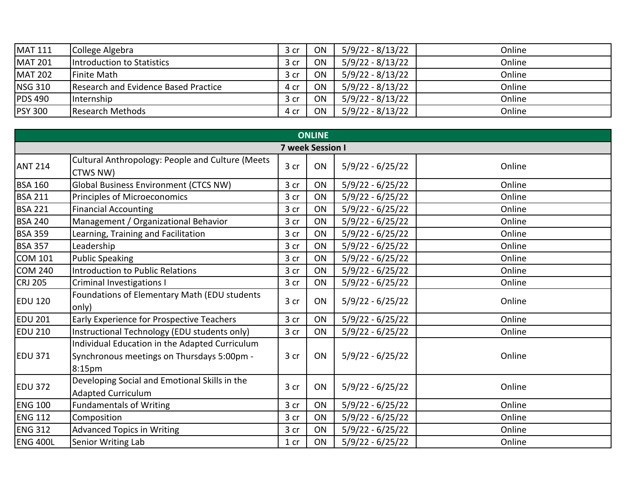| <b>MAT 111</b> | College Algebra                      | 3 cr | ON | 5/9/22 - 8/13/22 | Online |
|----------------|--------------------------------------|------|----|------------------|--------|
| <b>MAT 201</b> | Introduction to Statistics           | 3 cr | ON | 5/9/22 - 8/13/22 | Online |
| <b>MAT 202</b> | Finite Math                          | 3 cr | ON | 5/9/22 - 8/13/22 | Online |
| <b>NSG 310</b> | Research and Evidence Based Practice | 4 cr | ON | 5/9/22 - 8/13/22 | Online |
| <b>PDS 490</b> | Internship                           | 3 cr | ON | 5/9/22 - 8/13/22 | Online |
| <b>PSY 300</b> | Research Methods                     | 4 cr | ON | 5/9/22 - 8/13/22 | Online |

| <b>ONLINE</b>           |                                                                                                        |                 |    |                    |        |  |  |
|-------------------------|--------------------------------------------------------------------------------------------------------|-----------------|----|--------------------|--------|--|--|
| <b>7 week Session I</b> |                                                                                                        |                 |    |                    |        |  |  |
| <b>ANT 214</b>          | Cultural Anthropology: People and Culture (Meets<br>CTWS NW)                                           | 3 cr            | ON | $5/9/22 - 6/25/22$ | Online |  |  |
| <b>BSA 160</b>          | <b>Global Business Environment (CTCS NW)</b>                                                           | 3 cr            | ON | $5/9/22 - 6/25/22$ | Online |  |  |
| <b>BSA 211</b>          | Principles of Microeconomics                                                                           | 3 cr            | ON | $5/9/22 - 6/25/22$ | Online |  |  |
| <b>BSA 221</b>          | <b>Financial Accounting</b>                                                                            | 3 cr            | ON | $5/9/22 - 6/25/22$ | Online |  |  |
| <b>BSA 240</b>          | Management / Organizational Behavior                                                                   | 3 cr            | ON | $5/9/22 - 6/25/22$ | Online |  |  |
| <b>BSA 359</b>          | Learning, Training and Facilitation                                                                    | 3 cr            | ON | $5/9/22 - 6/25/22$ | Online |  |  |
| <b>BSA 357</b>          | Leadership                                                                                             | 3 cr            | ON | $5/9/22 - 6/25/22$ | Online |  |  |
| <b>COM 101</b>          | <b>Public Speaking</b>                                                                                 | 3 cr            | ON | $5/9/22 - 6/25/22$ | Online |  |  |
| <b>COM 240</b>          | <b>Introduction to Public Relations</b>                                                                | 3 cr            | ON | $5/9/22 - 6/25/22$ | Online |  |  |
| <b>CRJ 205</b>          | Criminal Investigations I                                                                              | 3 cr            | ON | $5/9/22 - 6/25/22$ | Online |  |  |
| <b>EDU 120</b>          | Foundations of Elementary Math (EDU students<br>only)                                                  | 3 cr            | ON | $5/9/22 - 6/25/22$ | Online |  |  |
| <b>EDU 201</b>          | Early Experience for Prospective Teachers                                                              | 3 cr            | ON | $5/9/22 - 6/25/22$ | Online |  |  |
| <b>EDU 210</b>          | Instructional Technology (EDU students only)                                                           | 3 cr            | ON | 5/9/22 - 6/25/22   | Online |  |  |
| <b>EDU 371</b>          | Individual Education in the Adapted Curriculum<br>Synchronous meetings on Thursdays 5:00pm -<br>8:15pm | 3 cr            | ON | $5/9/22 - 6/25/22$ | Online |  |  |
| <b>EDU 372</b>          | Developing Social and Emotional Skills in the<br><b>Adapted Curriculum</b>                             | 3 cr            | ON | $5/9/22 - 6/25/22$ | Online |  |  |
| <b>ENG 100</b>          | <b>Fundamentals of Writing</b>                                                                         | 3 cr            | ON | $5/9/22 - 6/25/22$ | Online |  |  |
| <b>ENG 112</b>          | Composition                                                                                            | 3 cr            | ON | $5/9/22 - 6/25/22$ | Online |  |  |
| <b>ENG 312</b>          | <b>Advanced Topics in Writing</b>                                                                      | 3 cr            | ON | $5/9/22 - 6/25/22$ | Online |  |  |
| <b>ENG 400L</b>         | Senior Writing Lab                                                                                     | 1 <sub>cr</sub> | ON | 5/9/22 - 6/25/22   | Online |  |  |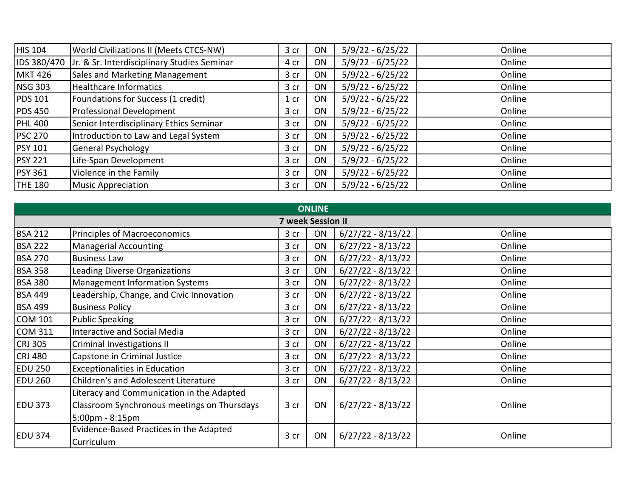| HIS 104        | World Civilizations II (Meets CTCS-NW)      | 3 cr   | ON | $5/9/22 - 6/25/22$ | Online |
|----------------|---------------------------------------------|--------|----|--------------------|--------|
| IDS 380/470    | Jr. & Sr. Interdisciplinary Studies Seminar | 4 cr   | ON | $5/9/22 - 6/25/22$ | Online |
| <b>MKT 426</b> | Sales and Marketing Management              | 3 cr   | ON | $5/9/22 - 6/25/22$ | Online |
| <b>NSG 303</b> | <b>Healthcare Informatics</b>               | 3 cr   | ON | $5/9/22 - 6/25/22$ | Online |
| <b>PDS 101</b> | Foundations for Success (1 credit)          | $1$ cr | ON | $5/9/22 - 6/25/22$ | Online |
| <b>PDS 450</b> | Professional Development                    | 3 cr   | ON | $5/9/22 - 6/25/22$ | Online |
| <b>PHL 400</b> | Senior Interdisciplinary Ethics Seminar     | 3 cr   | ON | $5/9/22 - 6/25/22$ | Online |
| <b>PSC 270</b> | Introduction to Law and Legal System        | 3 cr   | ON | $5/9/22 - 6/25/22$ | Online |
| <b>PSY 101</b> | General Psychology                          | 3 cr   | ON | $5/9/22 - 6/25/22$ | Online |
| <b>PSY 221</b> | Life-Span Development                       | 3 cr   | ON | $5/9/22 - 6/25/22$ | Online |
| <b>PSY 361</b> | Violence in the Family                      | 3 cr   | ON | $5/9/22 - 6/25/22$ | Online |
| <b>THE 180</b> | <b>Music Appreciation</b>                   | 3 cr   | ON | $5/9/22 - 6/25/22$ | Online |

|                          | <b>ONLINE</b>                               |      |    |                     |        |  |  |
|--------------------------|---------------------------------------------|------|----|---------------------|--------|--|--|
| <b>7 week Session II</b> |                                             |      |    |                     |        |  |  |
| <b>BSA 212</b>           | Principles of Macroeconomics                | 3 cr | ON | $6/27/22 - 8/13/22$ | Online |  |  |
| <b>BSA 222</b>           | <b>Managerial Accounting</b>                | 3 cr | ON | $6/27/22 - 8/13/22$ | Online |  |  |
| <b>BSA 270</b>           | <b>Business Law</b>                         | 3 cr | ON | $6/27/22 - 8/13/22$ | Online |  |  |
| <b>BSA 358</b>           | Leading Diverse Organizations               | 3 cr | ON | $6/27/22 - 8/13/22$ | Online |  |  |
| <b>BSA 380</b>           | <b>Management Information Systems</b>       | 3 cr | ON | $6/27/22 - 8/13/22$ | Online |  |  |
| <b>BSA 449</b>           | Leadership, Change, and Civic Innovation    | 3 cr | ON | $6/27/22 - 8/13/22$ | Online |  |  |
| <b>BSA 499</b>           | <b>Business Policy</b>                      | 3 cr | ON | $6/27/22 - 8/13/22$ | Online |  |  |
| <b>COM 101</b>           | <b>Public Speaking</b>                      | 3 cr | ON | $6/27/22 - 8/13/22$ | Online |  |  |
| COM 311                  | Interactive and Social Media                | 3 cr | ON | $6/27/22 - 8/13/22$ | Online |  |  |
| <b>CRJ 305</b>           | Criminal Investigations II                  | 3 cr | ON | $6/27/22 - 8/13/22$ | Online |  |  |
| CRJ 480                  | Capstone in Criminal Justice                | 3 cr | ON | $6/27/22 - 8/13/22$ | Online |  |  |
| <b>EDU 250</b>           | <b>Exceptionalities in Education</b>        | 3 cr | ON | $6/27/22 - 8/13/22$ | Online |  |  |
| <b>EDU 260</b>           | Children's and Adolescent Literature        | 3 cr | ON | $6/27/22 - 8/13/22$ | Online |  |  |
|                          | Literacy and Communication in the Adapted   |      |    |                     |        |  |  |
| <b>EDU 373</b>           | Classroom Synchronous meetings on Thursdays | 3 cr | ON | $6/27/22 - 8/13/22$ | Online |  |  |
|                          | 5:00pm - 8:15pm                             |      |    |                     |        |  |  |
|                          | Evidence-Based Practices in the Adapted     |      |    |                     |        |  |  |
| <b>EDU 374</b>           | Curriculum                                  | 3 cr | ON | $6/27/22 - 8/13/22$ | Online |  |  |